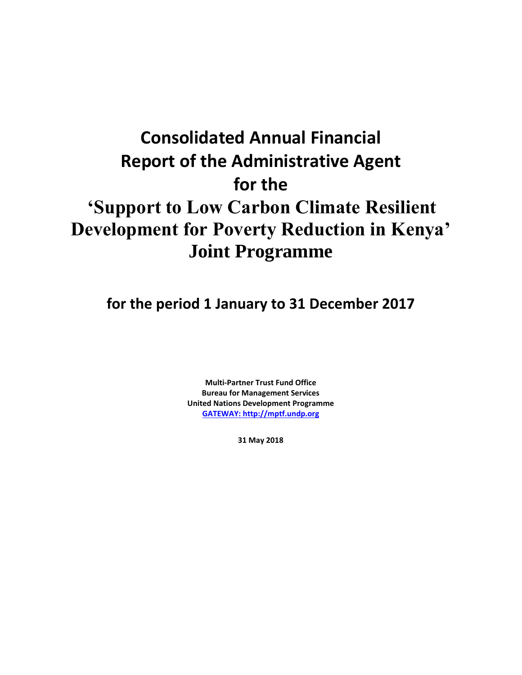# **Consolidated Annual Financial Report of the Administrative Agent for the 'Support to Low Carbon Climate Resilient Development for Poverty Reduction in Kenya' Joint Programme**

**for the period 1 January to 31 December 2017**

**Multi-Partner Trust Fund Office Bureau for Management Services United Nations Development Programme [GATEWAY: http://mptf.undp.org](http://mptf.undp.org/)**

**31 May 2018**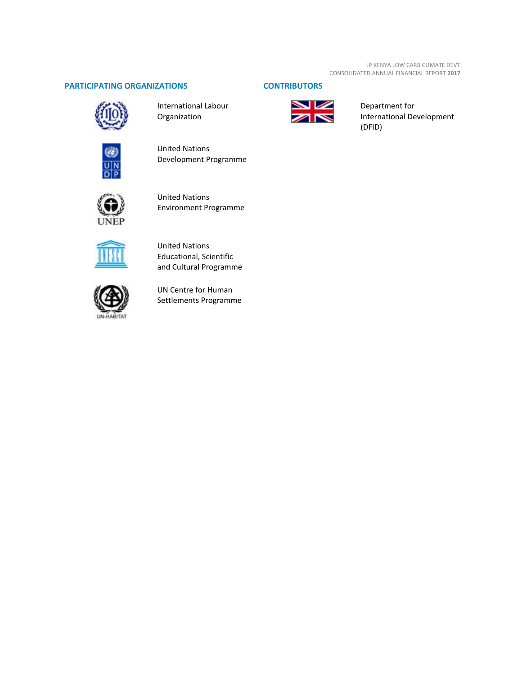JP KENYA LOW CARB CLIMATE DEVT CONSOLIDATED ANNUAL FINANCIAL REPORT **2017**

# **PARTICIPATING ORGANIZATIONS CONTRIBUTORS**



International Labour Organization

United Nations





Department for International Development (DFID)



Development Programme



United Nations Environment Programme



United Nations Educational, Scientific and Cultural Programme



UN Centre for Human Settlements Programme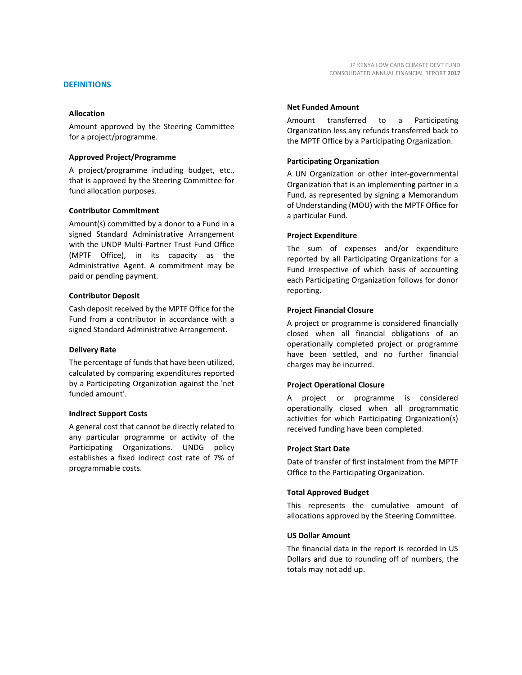Amount approved by the Steering Committee for a project/programme.

# **Approved Project/Programme**

A project/programme including budget, etc., that is approved by the Steering Committee for fund allocation purposes.

# **Contributor Commitment**

Amount(s) committed by a donor to a Fund in a signed Standard Administrative Arrangement with the UNDP Multi-Partner Trust Fund Office (MPTF Office), in its capacity as the Administrative Agent. A commitment may be paid or pending payment.

#### **Contributor Deposit**

Cash deposit received by the MPTF Office for the Fund from a contributor in accordance with a signed Standard Administrative Arrangement.

# **Delivery Rate**

The percentage of funds that have been utilized, calculated by comparing expenditures reported by a Participating Organization against the 'net funded amount'.

# **Indirect Support Costs**

A general cost that cannot be directly related to any particular programme or activity of the Participating Organizations. UNDG policy establishes a fixed indirect cost rate of 7% of programmable costs.

#### **Net Funded Amount**

Amount transferred to a Participating Organization less any refunds transferred back to the MPTF Office by a Participating Organization.

# **Participating Organization**

A UN Organization or other inter-governmental Organization that is an implementing partner in a Fund, as represented by signing a Memorandum of Understanding (MOU) with the MPTF Office for a particular Fund.

# **Project Expenditure**

The sum of expenses and/or expenditure reported by all Participating Organizations for a Fund irrespective of which basis of accounting each Participating Organization follows for donor reporting.

# **Project Financial Closure**

A project or programme is considered financially closed when all financial obligations of an operationally completed project or programme have been settled, and no further financial charges may be incurred.

# **Project Operational Closure**

A project or programme is considered operationally closed when all programmatic activities for which Participating Organization(s) received funding have been completed.

# **Project Start Date**

Date of transfer of first instalment from the MPTF Office to the Participating Organization.

# **Total Approved Budget**

This represents the cumulative amount of allocations approved by the Steering Committee.

## **US Dollar Amount**

The financial data in the report is recorded in US Dollars and due to rounding off of numbers, the totals may not add up.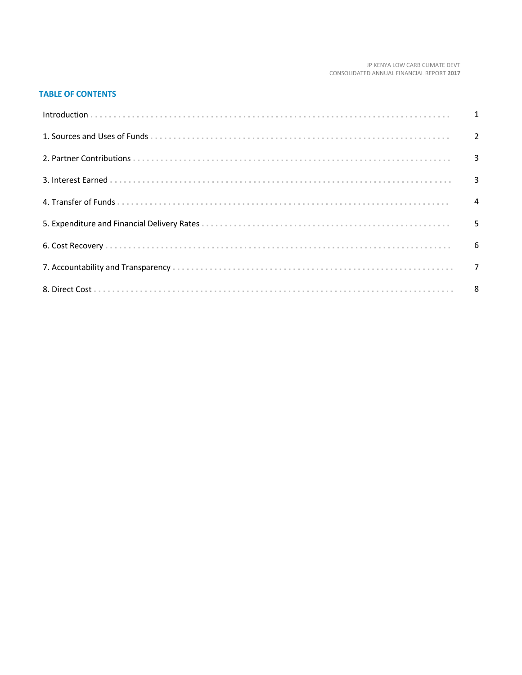#### JP KENYA LOW CARB CLIMATE DEVT CONSOLIDATED ANNUAL FINANCIAL REPORT 2017

# **TABLE OF CONTENTS**

| Introduction 1 1 |  |
|------------------|--|
|                  |  |
|                  |  |
|                  |  |
|                  |  |
|                  |  |
|                  |  |
|                  |  |
|                  |  |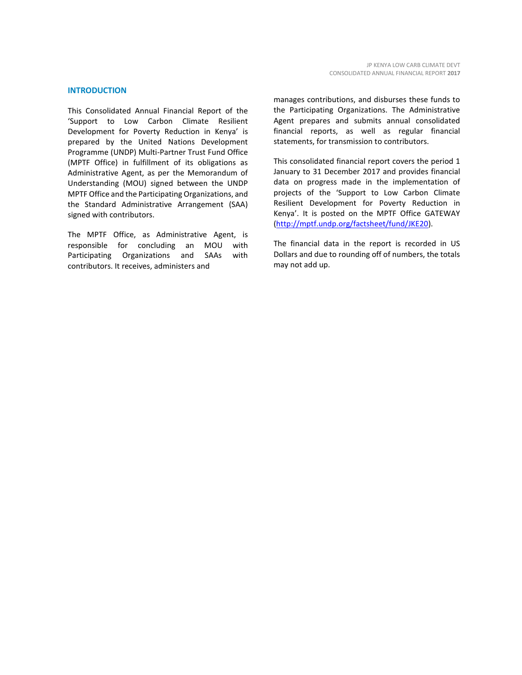## **INTRODUCTION**

This Consolidated Annual Financial Report of the 'Support to Low Carbon Climate Resilient Development for Poverty Reduction in Kenya' is prepared by the United Nations Development Programme (UNDP) Multi-Partner Trust Fund Office (MPTF Office) in fulfillment of its obligations as Administrative Agent, as per the Memorandum of Understanding (MOU) signed between the UNDP MPTF Office and the Participating Organizations, and the Standard Administrative Arrangement (SAA) signed with contributors.

The MPTF Office, as Administrative Agent, is responsible for concluding an MOU with Participating Organizations and SAAs with contributors. It receives, administers and

manages contributions, and disburses these funds to the Participating Organizations. The Administrative Agent prepares and submits annual consolidated financial reports, as well as regular financial statements, for transmission to contributors.

This consolidated financial report covers the period 1 January to 31 December 2017 and provides financial data on progress made in the implementation of projects of the 'Support to Low Carbon Climate Resilient Development for Poverty Reduction in Kenya'. It is posted on the MPTF Office GATEWAY [\(http://mptf.undp.org/factsheet/fund/JKE20\)](http://mptf.undp.org/factsheet/fund/JKE20).

The financial data in the report is recorded in US Dollars and due to rounding off of numbers, the totals may not add up.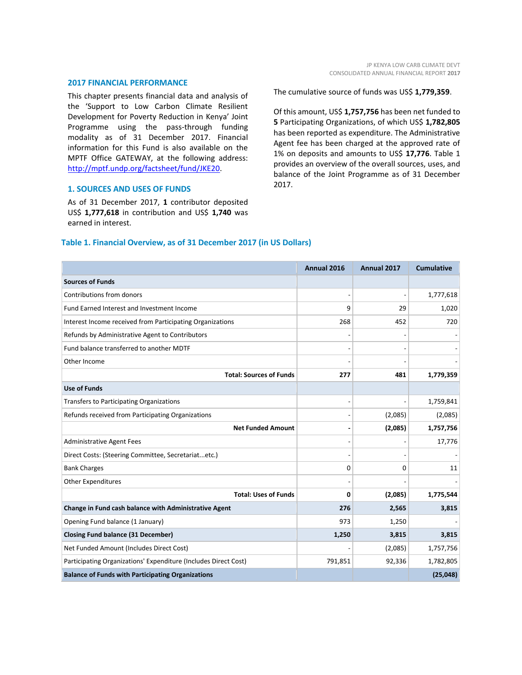#### **2017 FINANCIAL PERFORMANCE**

This chapter presents financial data and analysis of the 'Support to Low Carbon Climate Resilient Development for Poverty Reduction in Kenya' Joint Programme using the pass-through funding modality as of 31 December 2017. Financial information for this Fund is also available on the MPTF Office GATEWAY, at the following address: [http://mptf.undp.org/factsheet/fund/JKE20.](http://mptf.undp.org/factsheet/fund/JKE20)

# **1. SOURCES AND USES OF FUNDS**

As of 31 December 2017, **1** contributor deposited US\$ **1,777,618** in contribution and US\$ **1,740** was earned in interest.

#### The cumulative source of funds was US\$ **1,779,359**.

Of this amount, US\$ **1,757,756** has been net funded to **5** Participating Organizations, of which US\$ **1,782,805** has been reported as expenditure. The Administrative Agent fee has been charged at the approved rate of 1% on deposits and amounts to US\$ **17,776**. Table 1 provides an overview of the overall sources, uses, and balance of the Joint Programme as of 31 December 2017.

#### **Table 1. Financial Overview, as of 31 December 2017 (in US Dollars)**

|                                                                 | Annual 2016 | Annual 2017 | <b>Cumulative</b> |
|-----------------------------------------------------------------|-------------|-------------|-------------------|
| <b>Sources of Funds</b>                                         |             |             |                   |
| Contributions from donors                                       |             |             | 1,777,618         |
| Fund Earned Interest and Investment Income                      | 9           | 29          | 1,020             |
| Interest Income received from Participating Organizations       | 268         | 452         | 720               |
| Refunds by Administrative Agent to Contributors                 |             |             |                   |
| Fund balance transferred to another MDTF                        |             |             |                   |
| Other Income                                                    |             |             |                   |
| <b>Total: Sources of Funds</b>                                  | 277         | 481         | 1,779,359         |
| <b>Use of Funds</b>                                             |             |             |                   |
| <b>Transfers to Participating Organizations</b>                 |             |             | 1,759,841         |
| Refunds received from Participating Organizations               |             | (2,085)     | (2,085)           |
| <b>Net Funded Amount</b>                                        |             | (2,085)     | 1,757,756         |
| <b>Administrative Agent Fees</b>                                |             |             | 17,776            |
| Direct Costs: (Steering Committee, Secretariatetc.)             |             |             |                   |
| <b>Bank Charges</b>                                             | $\Omega$    | 0           | 11                |
| <b>Other Expenditures</b>                                       |             |             |                   |
| <b>Total: Uses of Funds</b>                                     | 0           | (2,085)     | 1,775,544         |
| Change in Fund cash balance with Administrative Agent           | 276         | 2,565       | 3,815             |
| Opening Fund balance (1 January)                                | 973         | 1,250       |                   |
| <b>Closing Fund balance (31 December)</b>                       | 1,250       | 3,815       | 3,815             |
| Net Funded Amount (Includes Direct Cost)                        |             | (2,085)     | 1,757,756         |
| Participating Organizations' Expenditure (Includes Direct Cost) | 791,851     | 92,336      | 1,782,805         |
| <b>Balance of Funds with Participating Organizations</b>        |             |             | (25,048)          |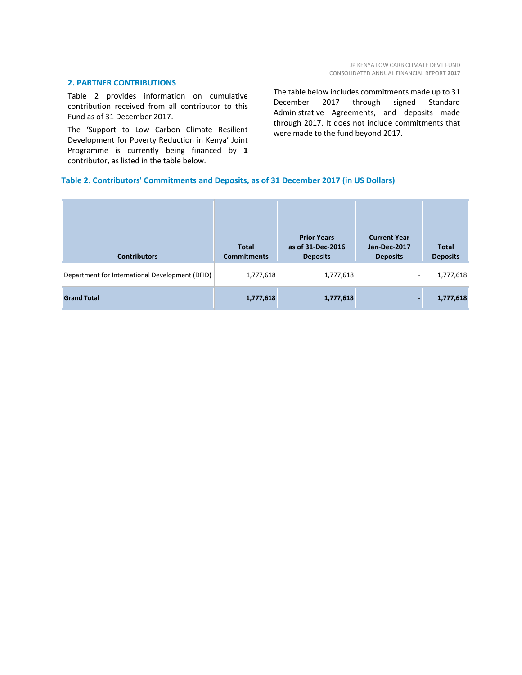# **2. PARTNER CONTRIBUTIONS**

Table 2 provides information on cumulative contribution received from all contributor to this Fund as of 31 December 2017.

The 'Support to Low Carbon Climate Resilient Development for Poverty Reduction in Kenya' Joint Programme is currently being financed by **1** contributor, as listed in the table below.

The table below includes commitments made up to 31 December 2017 through signed Standard Administrative Agreements, and deposits made through 2017. It does not include commitments that were made to the fund beyond 2017.

# **Table 2. Contributors' Commitments and Deposits, as of 31 December 2017 (in US Dollars)**

| <b>Contributors</b>                             | <b>Total</b><br><b>Commitments</b> | <b>Prior Years</b><br>as of 31-Dec-2016<br><b>Deposits</b> | <b>Current Year</b><br><b>Jan-Dec-2017</b><br><b>Deposits</b> | <b>Total</b><br><b>Deposits</b> |
|-------------------------------------------------|------------------------------------|------------------------------------------------------------|---------------------------------------------------------------|---------------------------------|
| Department for International Development (DFID) | 1,777,618                          | 1,777,618                                                  | ۰.                                                            | 1,777,618                       |
| <b>Grand Total</b>                              | 1,777,618                          | 1,777,618                                                  |                                                               | 1,777,618                       |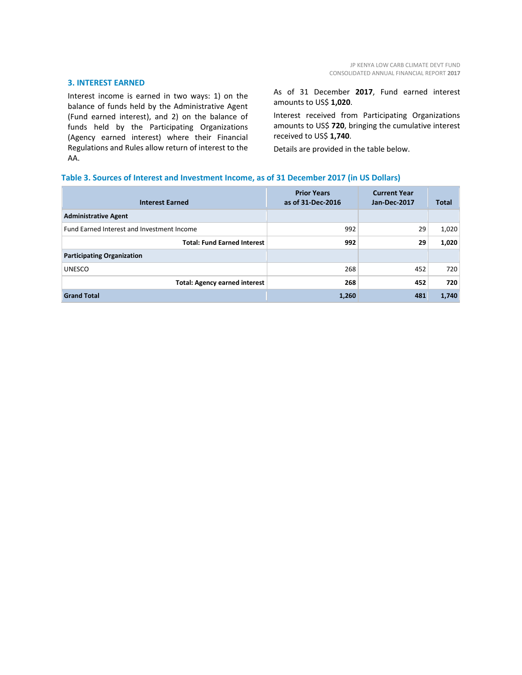#### **3. INTEREST EARNED**

Interest income is earned in two ways: 1) on the balance of funds held by the Administrative Agent (Fund earned interest), and 2) on the balance of funds held by the Participating Organizations (Agency earned interest) where their Financial Regulations and Rules allow return of interest to the AA.

As of 31 December **2017**, Fund earned interest amounts to US\$ **1,020**.

Interest received from Participating Organizations amounts to US\$ **720**, bringing the cumulative interest received to US\$ **1,740**.

Details are provided in the table below.

# **Table 3. Sources of Interest and Investment Income, as of 31 December 2017 (in US Dollars)**

| <b>Interest Earned</b>                            | <b>Prior Years</b><br>as of 31-Dec-2016 | <b>Current Year</b><br>Jan-Dec-2017 | <b>Total</b> |
|---------------------------------------------------|-----------------------------------------|-------------------------------------|--------------|
| <b>Administrative Agent</b>                       |                                         |                                     |              |
| <b>Fund Earned Interest and Investment Income</b> | 992                                     | 29                                  | 1,020        |
| <b>Total: Fund Earned Interest</b>                | 992                                     | 29                                  | 1,020        |
| <b>Participating Organization</b>                 |                                         |                                     |              |
| <b>UNESCO</b>                                     | 268                                     | 452                                 | 720          |
| <b>Total: Agency earned interest</b>              | 268                                     | 452                                 | 720          |
| <b>Grand Total</b>                                | 1,260                                   | 481                                 | 1,740        |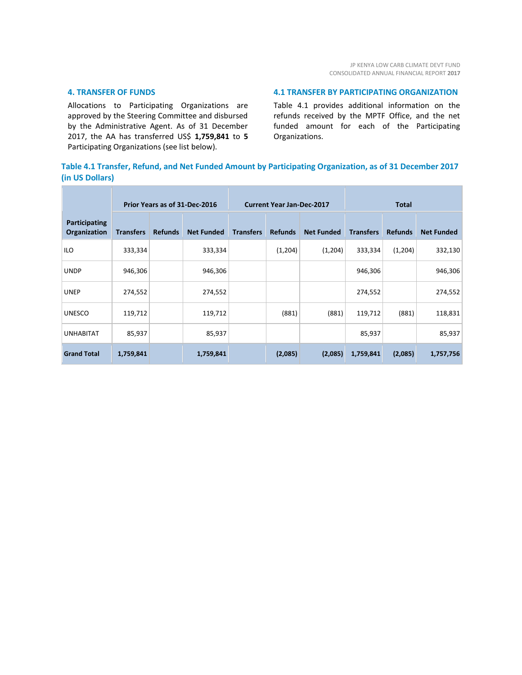## **4. TRANSFER OF FUNDS**

Allocations to Participating Organizations are approved by the Steering Committee and disbursed by the Administrative Agent. As of 31 December 2017, the AA has transferred US\$ **1,759,841** to **5** Participating Organizations (see list below).

# **4.1 TRANSFER BY PARTICIPATING ORGANIZATION**

Table 4.1 provides additional information on the refunds received by the MPTF Office, and the net funded amount for each of the Participating Organizations.

# **Table 4.1 Transfer, Refund, and Net Funded Amount by Participating Organization, as of 31 December 2017 (in US Dollars)**

|                               | Prior Years as of 31-Dec-2016 |                |                   |                  | <b>Current Year Jan-Dec-2017</b> |                   | <b>Total</b>     |                |                   |
|-------------------------------|-------------------------------|----------------|-------------------|------------------|----------------------------------|-------------------|------------------|----------------|-------------------|
| Participating<br>Organization | <b>Transfers</b>              | <b>Refunds</b> | <b>Net Funded</b> | <b>Transfers</b> | <b>Refunds</b>                   | <b>Net Funded</b> | <b>Transfers</b> | <b>Refunds</b> | <b>Net Funded</b> |
| <b>ILO</b>                    | 333,334                       |                | 333,334           |                  | (1,204)                          | (1,204)           | 333,334          | (1,204)        | 332,130           |
| <b>UNDP</b>                   | 946,306                       |                | 946,306           |                  |                                  |                   | 946,306          |                | 946,306           |
| <b>UNEP</b>                   | 274,552                       |                | 274,552           |                  |                                  |                   | 274,552          |                | 274,552           |
| <b>UNESCO</b>                 | 119,712                       |                | 119,712           |                  | (881)                            | (881)             | 119,712          | (881)          | 118,831           |
| <b>UNHABITAT</b>              | 85,937                        |                | 85,937            |                  |                                  |                   | 85,937           |                | 85,937            |
| <b>Grand Total</b>            | 1,759,841                     |                | 1,759,841         |                  | (2,085)                          | (2,085)           | 1,759,841        | (2,085)        | 1,757,756         |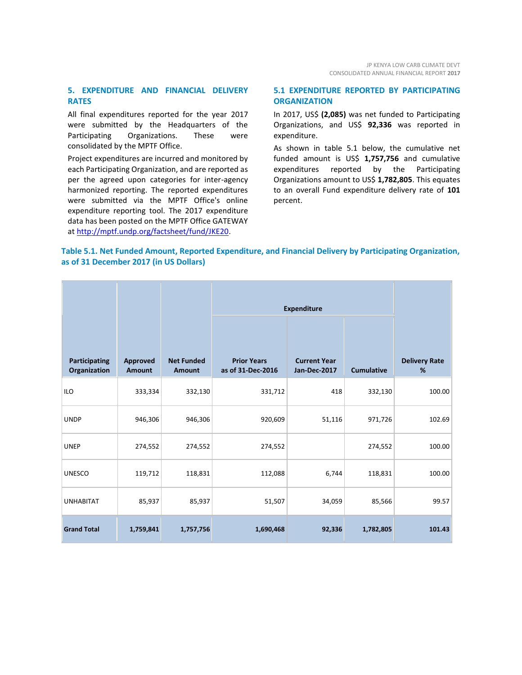# **5. EXPENDITURE AND FINANCIAL DELIVERY RATES**

All final expenditures reported for the year 2017 were submitted by the Headquarters of the Participating Organizations. These were consolidated by the MPTF Office.

Project expenditures are incurred and monitored by each Participating Organization, and are reported as per the agreed upon categories for inter-agency harmonized reporting. The reported expenditures were submitted via the MPTF Office's online expenditure reporting tool. The 2017 expenditure data has been posted on the MPTF Office GATEWAY at [http://mptf.undp.org/factsheet/fund/JKE20.](http://mptf.undp.org/factsheet/fund/JKE20) 

# **5.1 EXPENDITURE REPORTED BY PARTICIPATING ORGANIZATION**

In 2017, US\$ **(2,085)** was net funded to Participating Organizations, and US\$ **92,336** was reported in expenditure.

As shown in table 5.1 below, the cumulative net funded amount is US\$ **1,757,756** and cumulative expenditures reported by the Participating Organizations amount to US\$ **1,782,805**. This equates to an overall Fund expenditure delivery rate of **101** percent.

# **Table 5.1. Net Funded Amount, Reported Expenditure, and Financial Delivery by Participating Organization, as of 31 December 2017 (in US Dollars)**

|                               |                                  |                                    | <b>Expenditure</b>                      |                                     |                   |                           |
|-------------------------------|----------------------------------|------------------------------------|-----------------------------------------|-------------------------------------|-------------------|---------------------------|
|                               |                                  |                                    |                                         |                                     |                   |                           |
| Participating<br>Organization | <b>Approved</b><br><b>Amount</b> | <b>Net Funded</b><br><b>Amount</b> | <b>Prior Years</b><br>as of 31-Dec-2016 | <b>Current Year</b><br>Jan-Dec-2017 | <b>Cumulative</b> | <b>Delivery Rate</b><br>% |
| <b>ILO</b>                    | 333,334                          | 332,130                            | 331,712                                 | 418                                 | 332,130           | 100.00                    |
| <b>UNDP</b>                   | 946,306                          | 946,306                            | 920,609                                 | 51,116                              | 971,726           | 102.69                    |
| <b>UNEP</b>                   | 274,552                          | 274,552                            | 274,552                                 |                                     | 274,552           | 100.00                    |
| <b>UNESCO</b>                 | 119,712                          | 118,831                            | 112,088                                 | 6,744                               | 118,831           | 100.00                    |
| <b>UNHABITAT</b>              | 85,937                           | 85,937                             | 51,507                                  | 34,059                              | 85,566            | 99.57                     |
| <b>Grand Total</b>            | 1,759,841                        | 1,757,756                          | 1,690,468                               | 92,336                              | 1,782,805         | 101.43                    |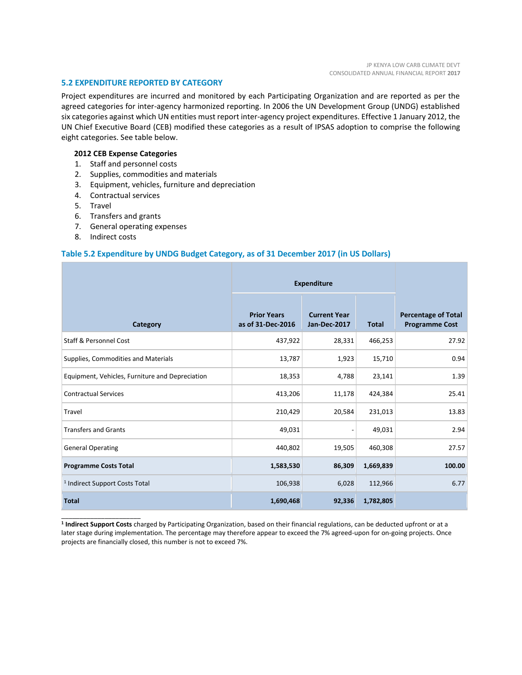# **5.2 EXPENDITURE REPORTED BY CATEGORY**

Project expenditures are incurred and monitored by each Participating Organization and are reported as per the agreed categories for inter-agency harmonized reporting. In 2006 the UN Development Group (UNDG) established six categories against which UN entities must report inter-agency project expenditures. Effective 1 January 2012, the UN Chief Executive Board (CEB) modified these categories as a result of IPSAS adoption to comprise the following eight categories. See table below.

# **2012 CEB Expense Categories**

- 1. Staff and personnel costs
- 2. Supplies, commodities and materials
- 3. Equipment, vehicles, furniture and depreciation
- 4. Contractual services
- 5. Travel
- 6. Transfers and grants
- 7. General operating expenses
- 8. Indirect costs

\_\_\_\_\_\_\_\_\_\_\_\_\_\_\_\_\_\_\_\_\_\_

# **Table 5.2 Expenditure by UNDG Budget Category, as of 31 December 2017 (in US Dollars)**

|                                                 | <b>Expenditure</b>                      |                                            |              |                                                     |
|-------------------------------------------------|-----------------------------------------|--------------------------------------------|--------------|-----------------------------------------------------|
| Category                                        | <b>Prior Years</b><br>as of 31-Dec-2016 | <b>Current Year</b><br><b>Jan-Dec-2017</b> | <b>Total</b> | <b>Percentage of Total</b><br><b>Programme Cost</b> |
| <b>Staff &amp; Personnel Cost</b>               | 437,922                                 | 28,331                                     | 466,253      | 27.92                                               |
| Supplies, Commodities and Materials             | 13,787                                  | 1,923                                      | 15,710       | 0.94                                                |
| Equipment, Vehicles, Furniture and Depreciation | 18,353                                  | 4,788                                      | 23,141       | 1.39                                                |
| <b>Contractual Services</b>                     | 413,206                                 | 11,178                                     | 424,384      | 25.41                                               |
| Travel                                          | 210,429                                 | 20,584                                     | 231,013      | 13.83                                               |
| <b>Transfers and Grants</b>                     | 49,031                                  | $\overline{a}$                             | 49,031       | 2.94                                                |
| <b>General Operating</b>                        | 440,802                                 | 19,505                                     | 460,308      | 27.57                                               |
| <b>Programme Costs Total</b>                    | 1,583,530                               | 86,309                                     | 1,669,839    | 100.00                                              |
| <sup>1</sup> Indirect Support Costs Total       | 106,938                                 | 6,028                                      | 112,966      | 6.77                                                |
| <b>Total</b>                                    | 1,690,468                               | 92,336                                     | 1,782,805    |                                                     |

**1 Indirect Support Costs** charged by Participating Organization, based on their financial regulations, can be deducted upfront or at a later stage during implementation. The percentage may therefore appear to exceed the 7% agreed-upon for on-going projects. Once projects are financially closed, this number is not to exceed 7%.